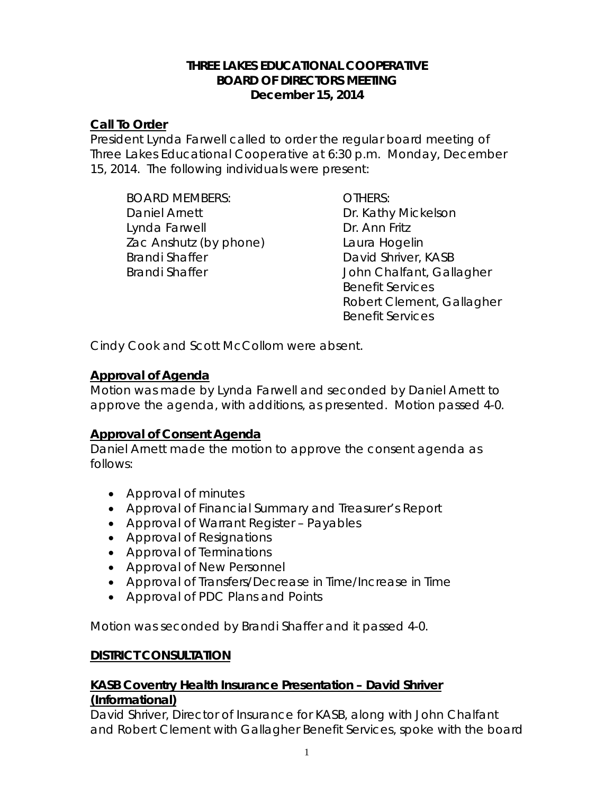#### **THREE LAKES EDUCATIONAL COOPERATIVE BOARD OF DIRECTORS MEETING December 15, 2014**

### **Call To Order**

President Lynda Farwell called to order the regular board meeting of Three Lakes Educational Cooperative at 6:30 p.m. Monday, December 15, 2014. The following individuals were present:

*BOARD MEMBERS: OTHERS:* Daniel Arnett Dr. Kathy Mickelson Lynda Farwell **Dr. Ann Fritz** Zac Anshutz (by phone) Laura Hogelin Brandi Shaffer **David Shriver, KASB** 

Brandi Shaffer **Internal Shaffer** John Chalfant, Gallagher Benefit Services Robert Clement, Gallagher Benefit Services

Cindy Cook and Scott McCollom were absent.

# **Approval of Agenda**

Motion was made by Lynda Farwell and seconded by Daniel Arnett to approve the agenda, with additions, as presented. Motion passed 4-0.

# **Approval of Consent Agenda**

Daniel Arnett made the motion to approve the consent agenda as follows:

- Approval of minutes
- Approval of Financial Summary and Treasurer's Report
- Approval of Warrant Register Payables
- Approval of Resignations
- Approval of Terminations
- Approval of New Personnel
- Approval of Transfers/Decrease in Time/Increase in Time
- Approval of PDC Plans and Points

Motion was seconded by Brandi Shaffer and it passed 4-0.

#### **DISTRICT CONSULTATION**

#### **KASB Coventry Health Insurance Presentation – David Shriver (Informational)**

David Shriver, Director of Insurance for KASB, along with John Chalfant and Robert Clement with Gallagher Benefit Services, spoke with the board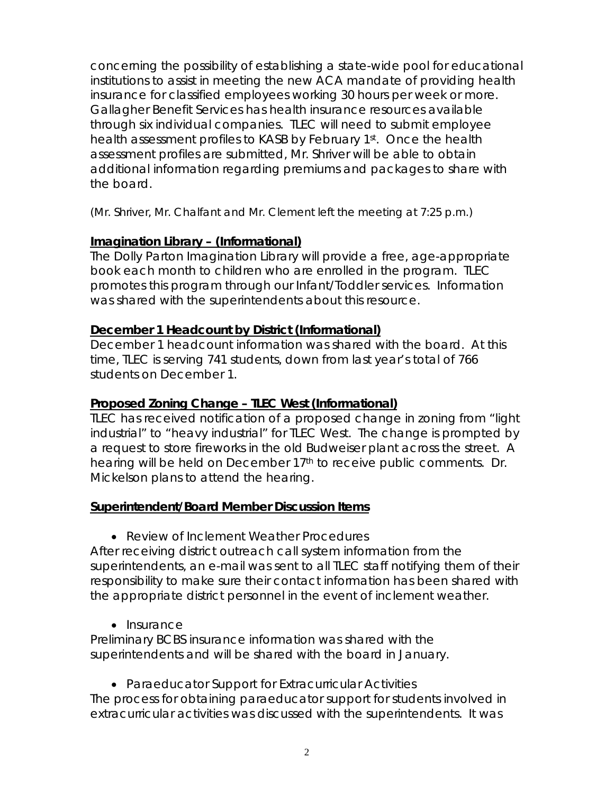concerning the possibility of establishing a state-wide pool for educational institutions to assist in meeting the new ACA mandate of providing health insurance for classified employees working 30 hours per week or more. Gallagher Benefit Services has health insurance resources available through six individual companies. TLEC will need to submit employee health assessment profiles to KASB by February 1st. Once the health assessment profiles are submitted, Mr. Shriver will be able to obtain additional information regarding premiums and packages to share with the board.

*(Mr. Shriver, Mr. Chalfant and Mr. Clement left the meeting at 7:25 p.m.)*

# **Imagination Library – (Informational)**

The Dolly Parton Imagination Library will provide a free, age-appropriate book each month to children who are enrolled in the program. TLEC promotes this program through our Infant/Toddler services. Information was shared with the superintendents about this resource.

# **December 1 Headcount by District (Informational)**

December 1 headcount information was shared with the board. At this time, TLEC is serving 741 students, down from last year's total of 766 students on December 1.

### **Proposed Zoning Change – TLEC West (Informational)**

TLEC has received notification of a proposed change in zoning from "light industrial" to "heavy industrial" for TLEC West. The change is prompted by a request to store fireworks in the old Budweiser plant across the street. A hearing will be held on December 17<sup>th</sup> to receive public comments. Dr. Mickelson plans to attend the hearing.

# **Superintendent/Board Member Discussion Items**

• *Review of Inclement Weather Procedures*

After receiving district outreach call system information from the superintendents, an e-mail was sent to all TLEC staff notifying them of their responsibility to make sure their contact information has been shared with the appropriate district personnel in the event of inclement weather.

• *Insurance*

Preliminary BCBS insurance information was shared with the superintendents and will be shared with the board in January.

• *Paraeducator Support for Extracurricular Activities*

The process for obtaining paraeducator support for students involved in extracurricular activities was discussed with the superintendents. It was